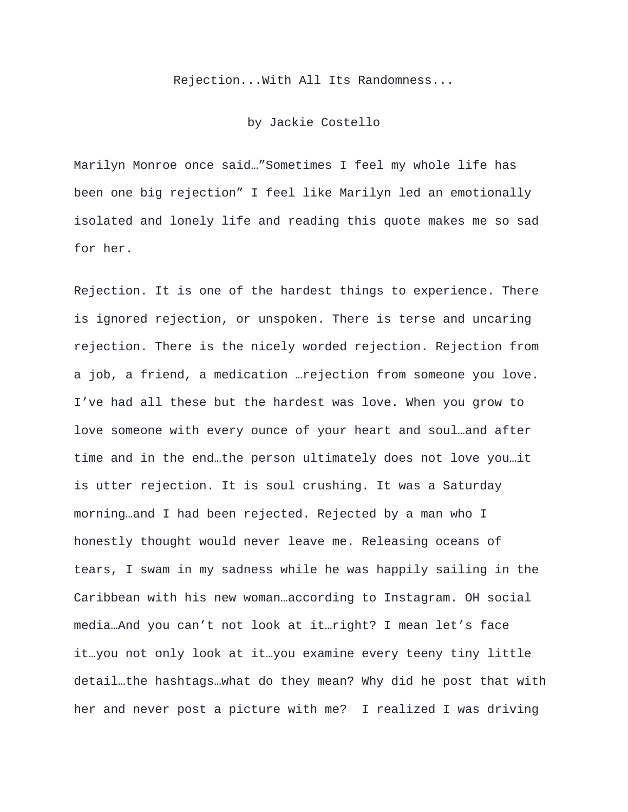Rejection...With All Its Randomness...

by Jackie Costello

Marilyn Monroe once said…"Sometimes I feel my whole life has been one big rejection" I feel like Marilyn led an emotionally isolated and lonely life and reading this quote makes me so sad for her.

Rejection. It is one of the hardest things to experience. There is ignored rejection, or unspoken. There is terse and uncaring rejection. There is the nicely worded rejection. Rejection from a job, a friend, a medication …rejection from someone you love. I've had all these but the hardest was love. When you grow to love someone with every ounce of your heart and soul…and after time and in the end…the person ultimately does not love you…it is utter rejection. It is soul crushing. It was a Saturday morning…and I had been rejected. Rejected by a man who I honestly thought would never leave me. Releasing oceans of tears, I swam in my sadness while he was happily sailing in the Caribbean with his new woman…according to Instagram. OH social media…And you can't not look at it…right? I mean let's face it…you not only look at it…you examine every teeny tiny little detail…the hashtags…what do they mean? Why did he post that with her and never post a picture with me? I realized I was driving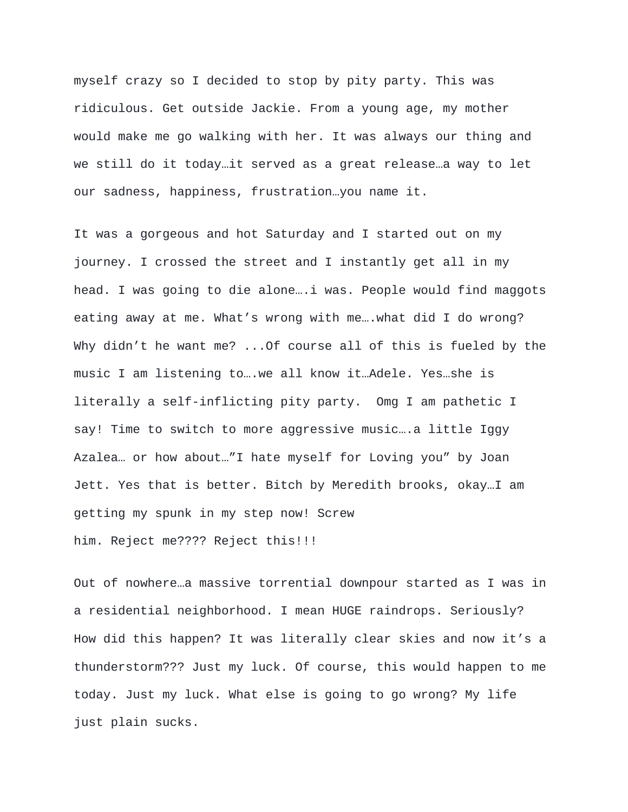myself crazy so I decided to stop by pity party. This was ridiculous. Get outside Jackie. From a young age, my mother would make me go walking with her. It was always our thing and we still do it today…it served as a great release…a way to let our sadness, happiness, frustration…you name it.

It was a gorgeous and hot Saturday and I started out on my journey. I crossed the street and I instantly get all in my head. I was going to die alone….i was. People would find maggots eating away at me. What's wrong with me….what did I do wrong? Why didn't he want me? ...Of course all of this is fueled by the music I am listening to….we all know it…Adele. Yes…she is literally a self-inflicting pity party. Omg I am pathetic I say! Time to switch to more aggressive music….a little Iggy Azalea… or how about…"I hate myself for Loving you" by Joan Jett. Yes that is better. Bitch by Meredith brooks, okay…I am getting my spunk in my step now! Screw him. Reject me???? Reject this!!!

Out of nowhere…a massive torrential downpour started as I was in a residential neighborhood. I mean HUGE raindrops. Seriously? How did this happen? It was literally clear skies and now it's a thunderstorm??? Just my luck. Of course, this would happen to me today. Just my luck. What else is going to go wrong? My life just plain sucks.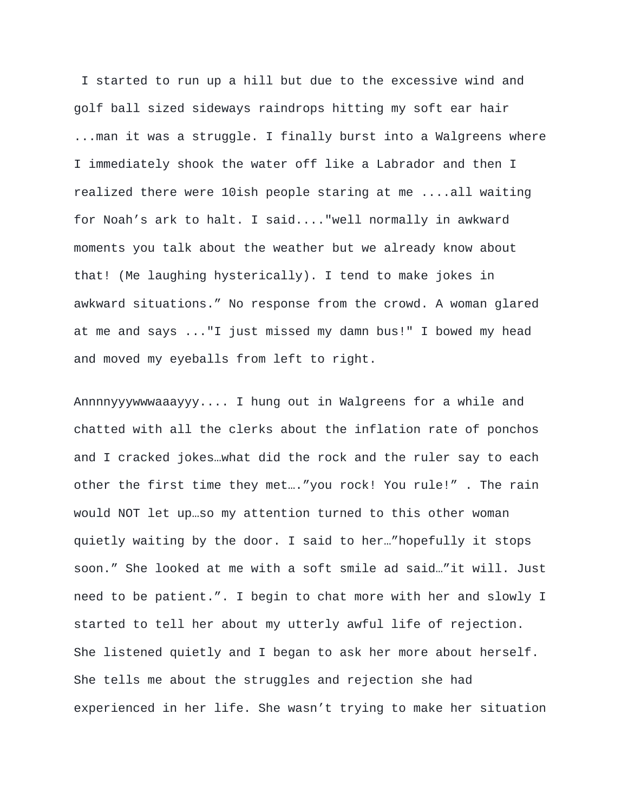I started to run up a hill but due to the excessive wind and golf ball sized sideways raindrops hitting my soft ear hair ...man it was a struggle. I finally burst into a Walgreens where I immediately shook the water off like a Labrador and then I realized there were 10ish people staring at me ....all waiting for Noah's ark to halt. I said...."well normally in awkward moments you talk about the weather but we already know about that! (Me laughing hysterically). I tend to make jokes in awkward situations." No response from the crowd. A woman glared at me and says ..."I just missed my damn bus!" I bowed my head and moved my eyeballs from left to right.

Annnnyyywwwaaayyy.... I hung out in Walgreens for a while and chatted with all the clerks about the inflation rate of ponchos and I cracked jokes…what did the rock and the ruler say to each other the first time they met…."you rock! You rule!" . The rain would NOT let up…so my attention turned to this other woman quietly waiting by the door. I said to her…"hopefully it stops soon." She looked at me with a soft smile ad said…"it will. Just need to be patient.". I begin to chat more with her and slowly I started to tell her about my utterly awful life of rejection. She listened quietly and I began to ask her more about herself. She tells me about the struggles and rejection she had experienced in her life. She wasn't trying to make her situation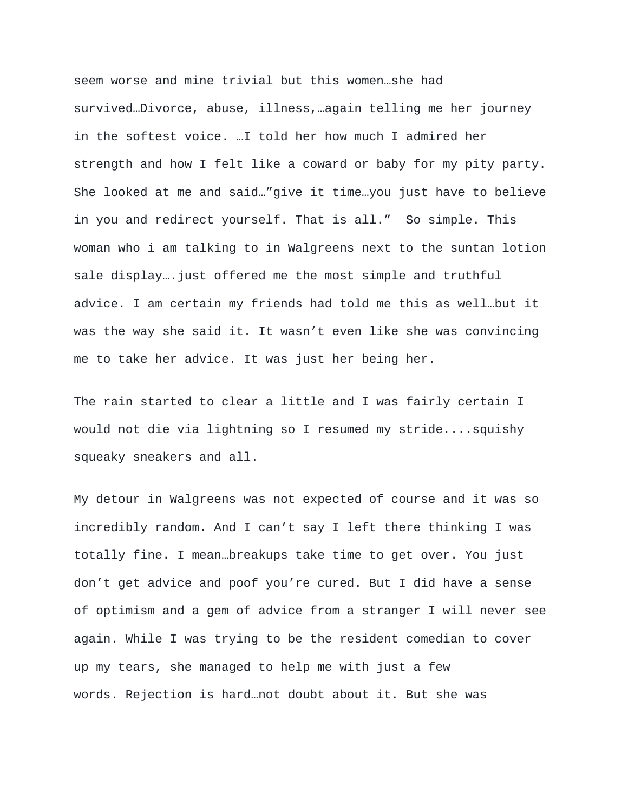seem worse and mine trivial but this women…she had survived…Divorce, abuse, illness,…again telling me her journey in the softest voice. …I told her how much I admired her strength and how I felt like a coward or baby for my pity party. She looked at me and said…"give it time…you just have to believe in you and redirect yourself. That is all." So simple. This woman who i am talking to in Walgreens next to the suntan lotion sale display….just offered me the most simple and truthful advice. I am certain my friends had told me this as well…but it was the way she said it. It wasn't even like she was convincing me to take her advice. It was just her being her.

The rain started to clear a little and I was fairly certain I would not die via lightning so I resumed my stride....squishy squeaky sneakers and all.

My detour in Walgreens was not expected of course and it was so incredibly random. And I can't say I left there thinking I was totally fine. I mean…breakups take time to get over. You just don't get advice and poof you're cured. But I did have a sense of optimism and a gem of advice from a stranger I will never see again. While I was trying to be the resident comedian to cover up my tears, she managed to help me with just a few words. Rejection is hard…not doubt about it. But she was